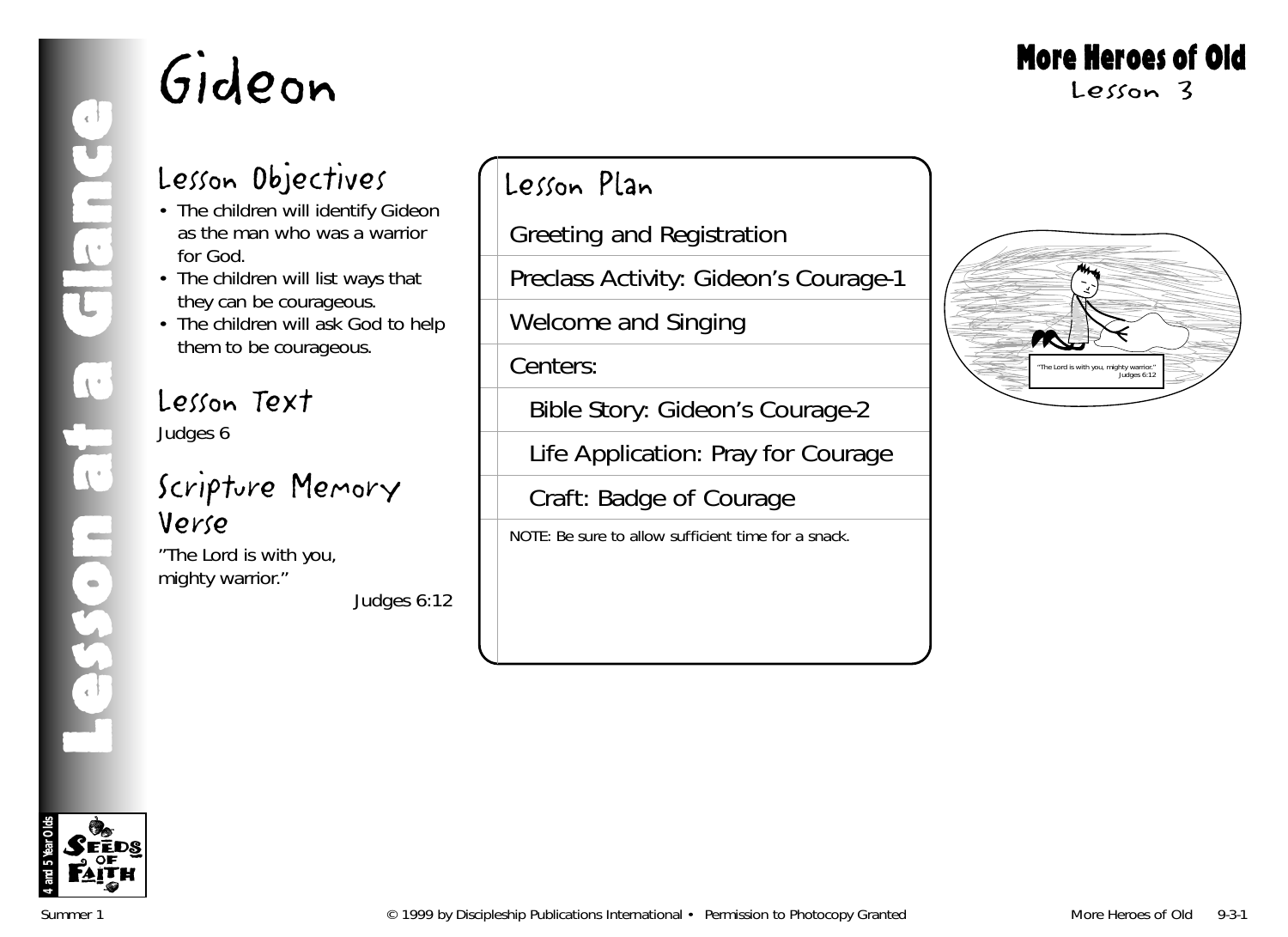## More Heroes of Old

Lesson 3

## Lesson Objectives

- The children will identify Gideon as the man who was a warrior for God.
- The children will list ways that they can be courageous.
- The children will ask God to help them to be courageous.

#### Lesson Text Judges 6

### Scripture Memory Verse

"The Lord is with you, mighty warrior."

*Judges 6:12*

## Lesson Plan

Greeting and Registration

Preclass Activity: Gideon's Courage-1

Welcome and Singing

Centers:

Bible Story: Gideon's Courage-2

Life Application: Pray for Courage

Craft: Badge of Courage

NOTE: Be sure to allow sufficient time for a snack.



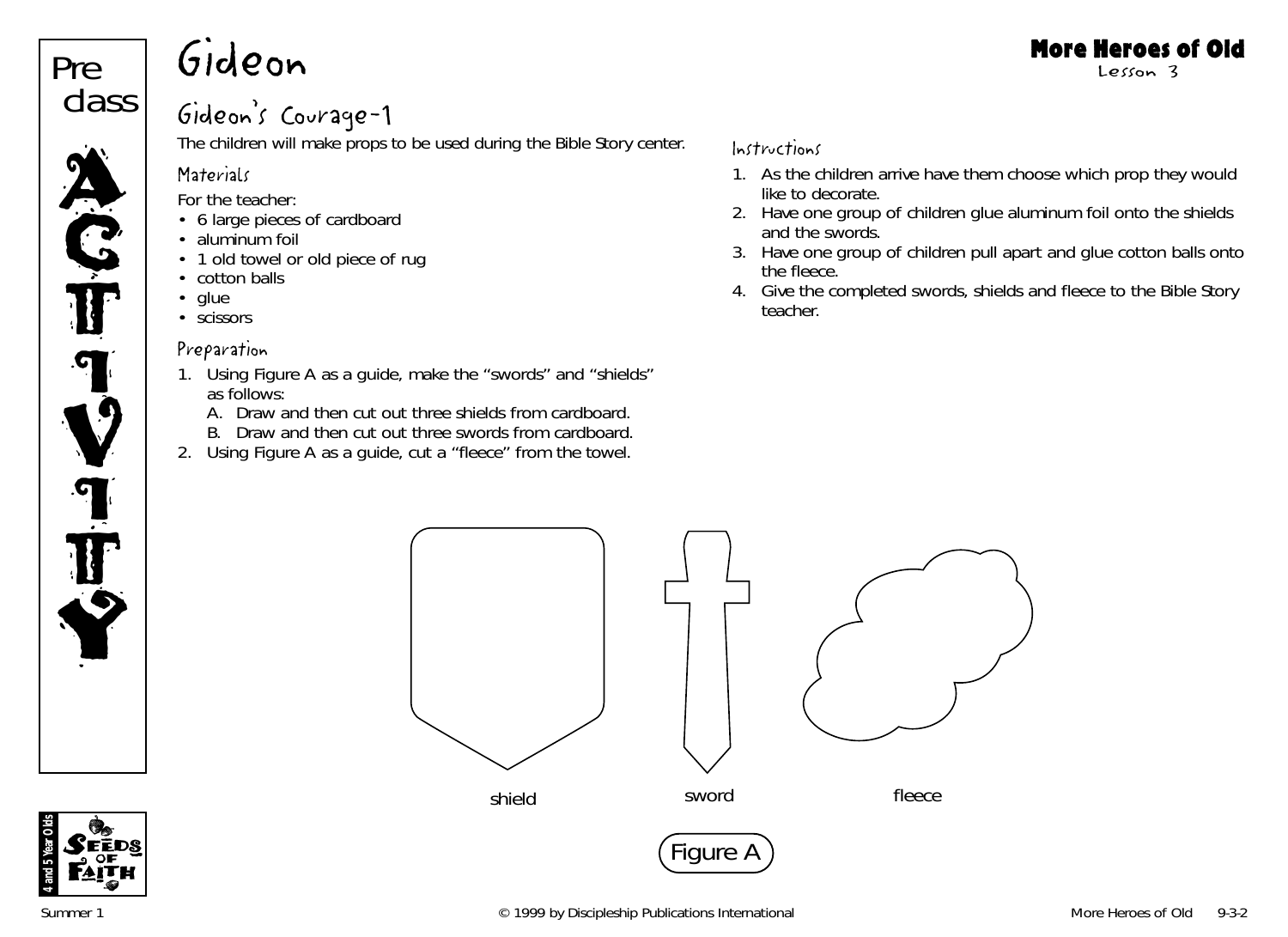## Gideon class

Pre

**ACT** 

 $\boldsymbol{\Omega}$ 

V

**T** 

T

Y

### Gideon's Courage-1

The children will make props to be used during the Bible Story center.

#### **Materials**

*For the teacher:*

- 6 large pieces of cardboard
- aluminum foil
- 1 old towel or old piece of rug
- cotton balls
- glue
- scissors

#### Preparation

- 1. Using Figure A as a guide, make the "swords" and "shields" as follows:
	- A. Draw and then cut out three shields from cardboard.
	- B. Draw and then cut out three swords from cardboard.
- 2. Using Figure A as a guide, cut a "fleece" from the towel.

#### Instructions

- 1. As the children arrive have them choose which prop they would like to decorate.
- 2. Have one group of children glue aluminum foil onto the shields and the swords.
- 3. Have one group of children pull apart and glue cotton balls onto the fleece.
- 4. Give the completed swords, shields and fleece to the Bible Story teacher.



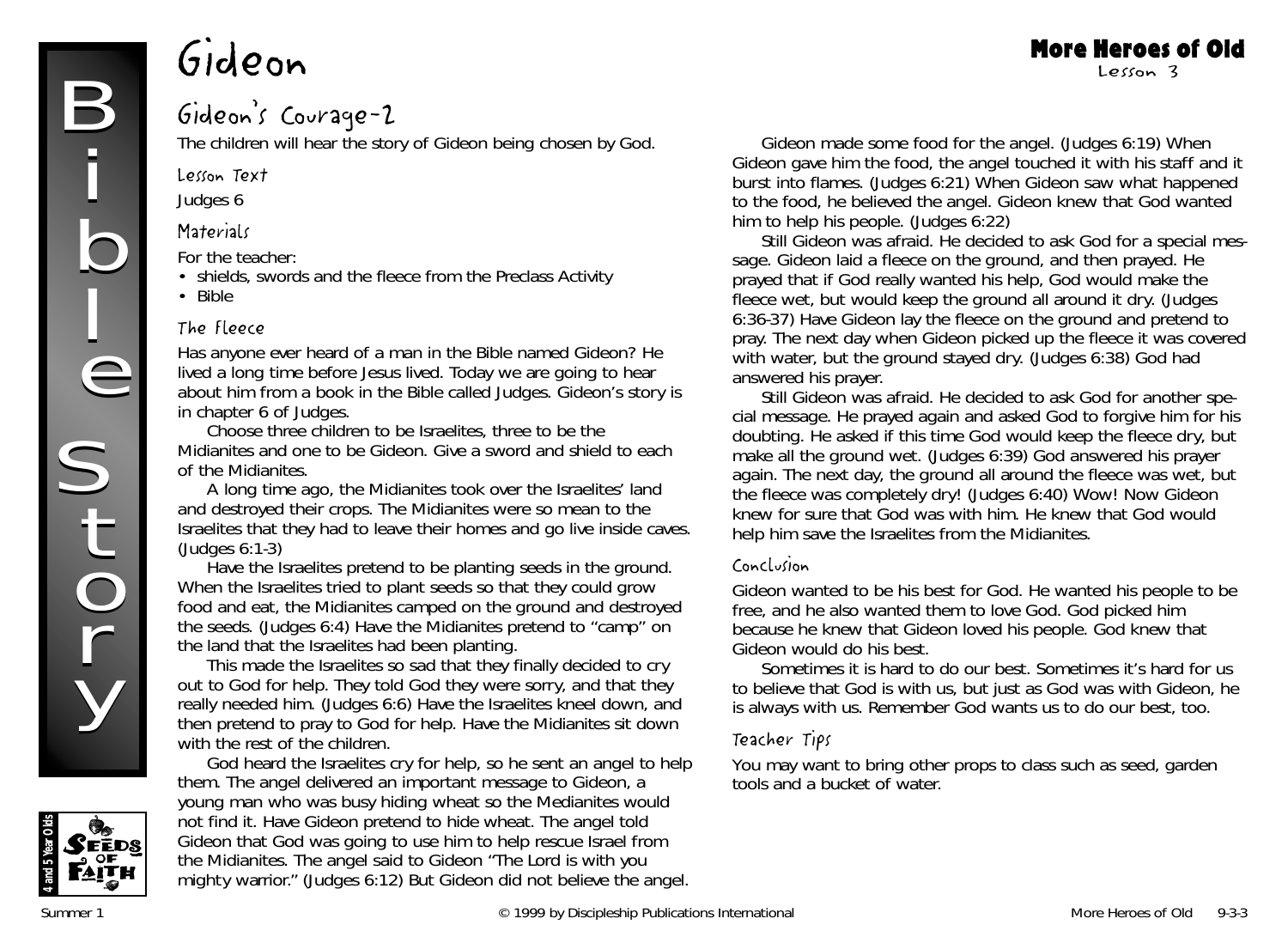#### Gideon's Courage-2

The children will hear the story of Gideon being chosen by God.

Lesson Text

Judges 6

#### **Materials**

*For the teacher:*

- shields, swords and the fleece from the Preclass Activity
- Bible

#### The Fleece

*Has anyone ever heard of a man in the Bible named Gideon? He lived a long time before Jesus lived. Today we are going to hear about him from a book in the Bible called Judges. Gideon's story is in chapter 6 of Judges.*

Choose three children to be Israelites, three to be the Midianites and one to be Gideon. Give a sword and shield to each of the Midianites.

*A long time ago, the Midianites took over the Israelites' land and destroyed their crops. The Midianites were so mean to the Israelites that they had to leave their homes and go live inside caves.* (Judges 6:1-3)

Have the Israelites pretend to be planting seeds in the ground. *When the Israelites tried to plant seeds so that they could grow food and eat, the Midianites camped on the ground and destroyed the seeds.* (Judges 6:4) Have the Midianites pretend to "camp" on the land that the Israelites had been planting.

*This made the Israelites so sad that they finally decided to cry out to God for help. They told God they were sorry, and that they really needed him.* (Judges 6:6) Have the Israelites kneel down, and then pretend to pray to God for help. Have the Midianites sit down with the rest of the children.

*God heard the Israelites cry for help, so he sent an angel to help them. The angel delivered an important message to Gideon, a young man who was busy hiding wheat so the Medianites would not find it.* Have Gideon pretend to hide wheat. *The angel told Gideon that God was going to use him to help rescue Israel from the Midianites. The angel said to Gideon "The Lord is with you mighty warrior."* (Judges 6:12) *But Gideon did not believe the angel.*

*Gideon made some food for the angel.* (Judges 6:19) *When Gideon gave him the food, the angel touched it with his staff and it burst into flames.* (Judges 6:21) *When Gideon saw what happened to the food, he believed the angel. Gideon knew that God wanted him to help his people.* (Judges 6:22)

More Heroes of Old Lesson 3

*Still Gideon was afraid. He decided to ask God for a special message. Gideon laid a fleece on the ground, and then prayed. He prayed that if God really wanted his help, God would make the fleece wet, but would keep the ground all around it dry.* (Judges 6:36-37) Have Gideon lay the fleece on the ground and pretend to pray. *The next day when Gideon picked up the fleece it was covered* with water, but the ground stayed dry. (Judges 6:38) God had answered his prayer.

*Still Gideon was afraid. He decided to ask God for another special message. He prayed again and asked God to forgive him for his doubting. He asked if this time God would keep the fleece dry, but make all the ground wet.* (Judges 6:39) *God answered his prayer again. The next day, the ground all around the fleece was wet, but the fleece was completely dry!* (Judges 6:40) *Wow! Now Gideon knew for sure that God was with him. He knew that God would help him save the Israelites from the Midianites.*

#### Conclusion

*Gideon wanted to be his best for God. He wanted his people to be free, and he also wanted them to love God. God picked him because he knew that Gideon loved his people. God knew that Gideon would do his best.*

*Sometimes it is hard to do our best. Sometimes it's hard for us to believe that God is with us, but just as God was with Gideon, he is always with us. Remember God wants us to do our best, too.*

#### Teacher Tips

You may want to bring other props to class such as seed, garden tools and a bucket of water.

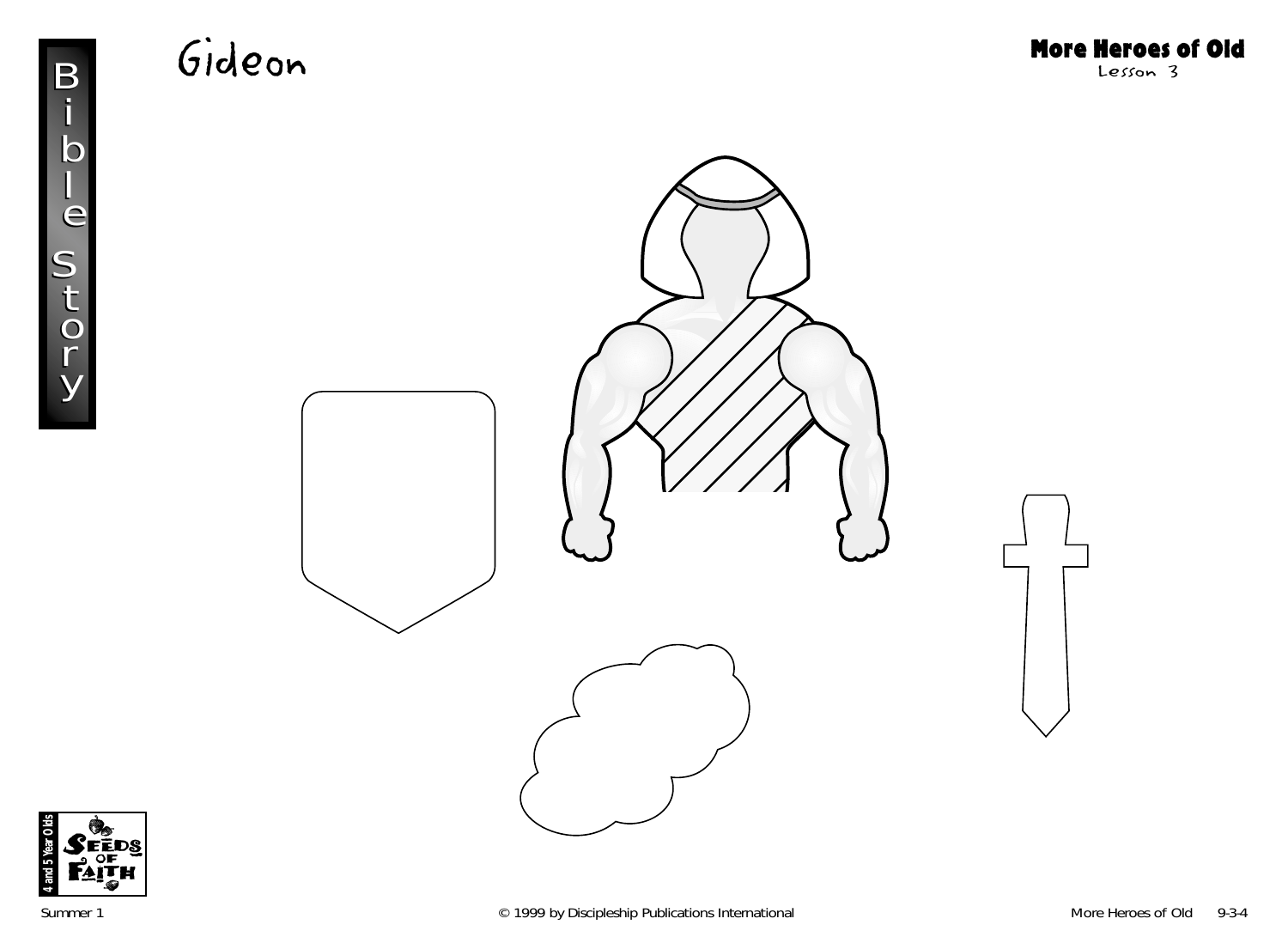



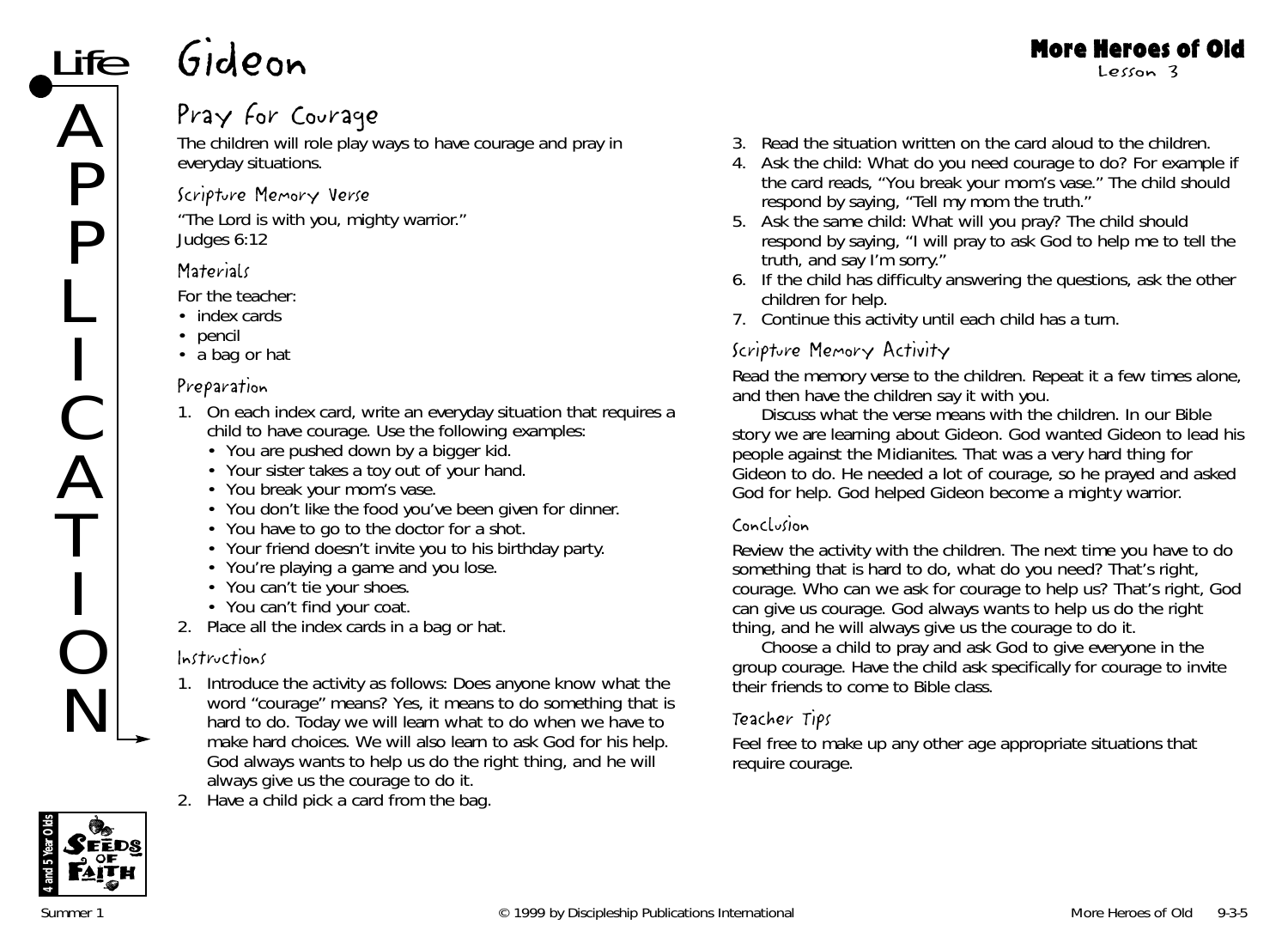### Pray for Courage

The children will role play ways to have courage and pray in everyday situations.

#### Scripture Memory Verse

"The Lord is with you, mighty warrior." *Judges 6:12*

#### **Materials**

*For the teacher:*

- index cards
- pencil
- a bag or hat

#### Preparation

- 1. On each index card, write an everyday situation that requires a child to have courage. Use the following examples:
	- You are pushed down by a bigger kid.
	- Your sister takes a toy out of your hand.
	- You break your mom's vase.
	- You don't like the food you've been given for dinner.
	- You have to go to the doctor for a shot.
	- Your friend doesn't invite you to his birthday party.
	- You're playing a game and you lose.
	- You can't tie your shoes.
	- You can't find your coat.
- 2. Place all the index cards in a bag or hat.

#### Instructions

- 1. Introduce the activity as follows: *Does anyone know what the word "courage" means? Yes, it means to do something that is hard to do. Today we will learn what to do when we have to make hard choices. We will also learn to ask God for his help. God always wants to help us do the right thing, and he will always give us the courage to do it.*
- 2. Have a child pick a card from the bag.



- 4. Ask the child: *What do you need courage to do?* For example if the card reads, "You break your mom's vase." The child should respond by saying, "Tell my mom the truth."
- 5. Ask the same child: *What will you pray?* The child should respond by saying, "I will pray to ask God to help me to tell the truth, and say I'm sorry."
- 6. If the child has difficulty answering the questions, ask the other children for help.
- 7. Continue this activity until each child has a turn.

#### Scripture Memory Activity

Read the memory verse to the children. Repeat it a few times alone, and then have the children say it with you.

Discuss what the verse means with the children. *In our Bible story we are learning about Gideon. God wanted Gideon to lead his people against the Midianites. That was a very hard thing for Gideon to do. He needed a lot of courage, so he prayed and asked God for help. God helped Gideon become a mighty warrior.*

#### Conclusion

Review the activity with the children. *The next time you have to do something that is hard to do, what do you need? That's right, courage. Who can we ask for courage to help us? That's right, God can give us courage. God always wants to help us do the right thing, and he will always give us the courage to do it.* 

Choose a child to pray and ask God to give everyone in the group courage. Have the child ask specifically for courage to invite their friends to come to Bible class.

#### Teacher Tips

Feel free to make up any other age appropriate situations that require courage.

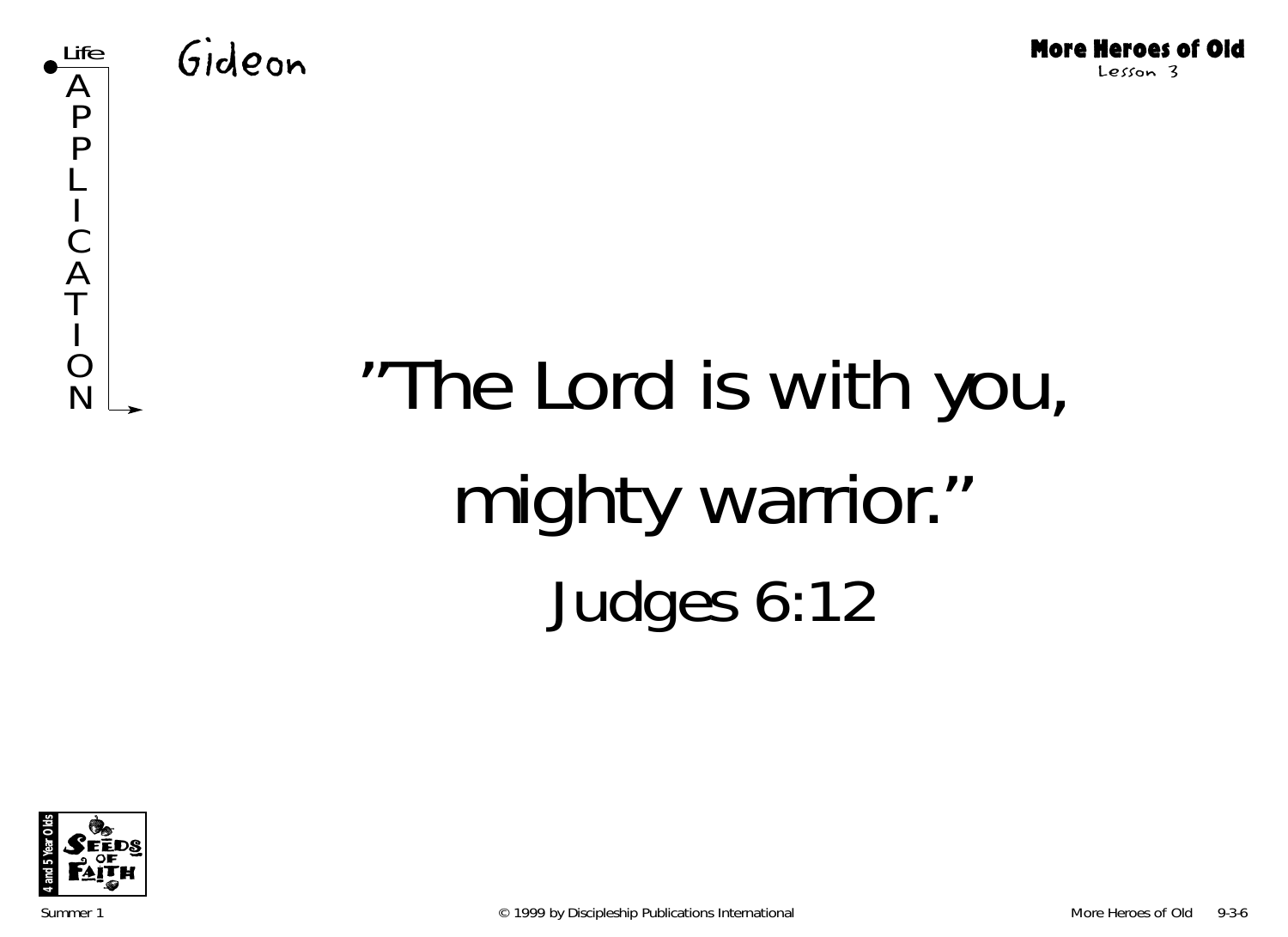



# "The Lord is with you, mighty warrior." Judges 6:12

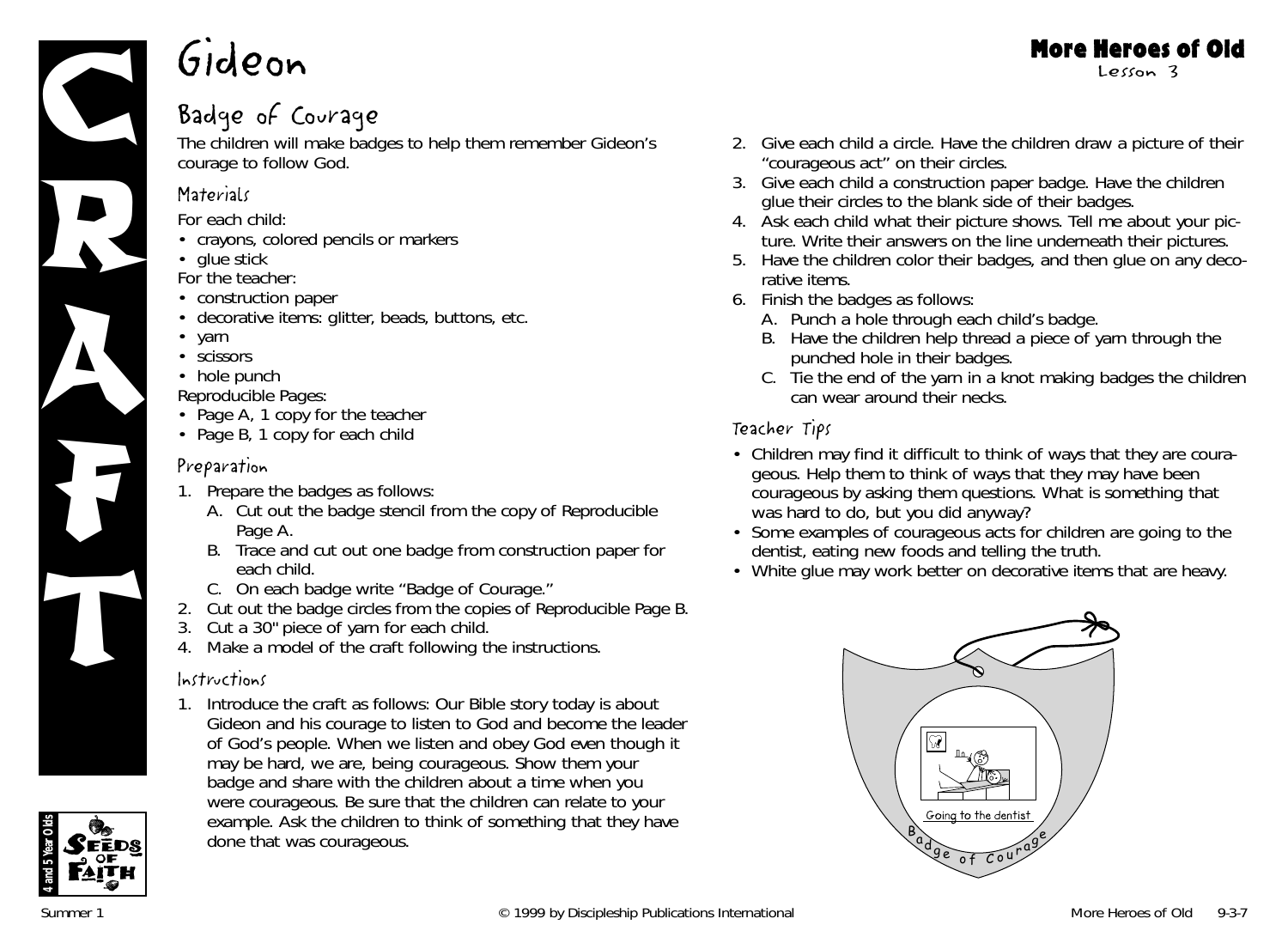

### Badge of Courage

The children will make badges to help them remember Gideon's courage to follow God.

#### **Materials**

*For each child:*

- crayons, colored pencils or markers
- glue stick

*For the teacher:*

- construction paper
- decorative items: glitter, beads, buttons, etc.
- yarn
- scissors
- hole punch

*Reproducible Pages:*

- Page A, 1 copy for the teacher
- Page B, 1 copy for each child

#### Preparation

- 1. Prepare the badges as follows:
	- A. Cut out the badge stencil from the copy of Reproducible Page A.
	- B. Trace and cut out one badge from construction paper for each child.
	- C. On each badge write "Badge of Courage."
- 2. Cut out the badge circles from the copies of Reproducible Page B.
- 3. Cut a 30" piece of yarn for each child.
- 4. Make a model of the craft following the instructions.

#### Instructions

1. Introduce the craft as follows: *Our Bible story today is about Gideon and his courage to listen to God and become the leader of God's people. When we listen and obey God even though it may be hard, we are, being courageous.* Show them your badge and share with the children about a time when you were courageous. Be sure that the children can relate to your example. Ask the children to think of something that they have done that was courageous.



- 3. Give each child a construction paper badge. Have the children glue their circles to the blank side of their badges.
- 4. Ask each child what their picture shows. *Tell me about your picture.* Write their answers on the line underneath their pictures.
- 5. Have the children color their badges, and then glue on any decorative items.
- 6. Finish the badges as follows:
	- A. Punch a hole through each child's badge.
	- B. Have the children help thread a piece of yarn through the punched hole in their badges.
	- C. Tie the end of the yarn in a knot making badges the children can wear around their necks.

#### Teacher Tips

- Children may find it difficult to think of ways that they are courageous. Help them to think of ways that they may have been courageous by asking them questions. *What is something that was hard to do, but you did anyway?*
- Some examples of courageous acts for children are going to the dentist, eating new foods and telling the truth.
- White glue may work better on decorative items that are heavy.



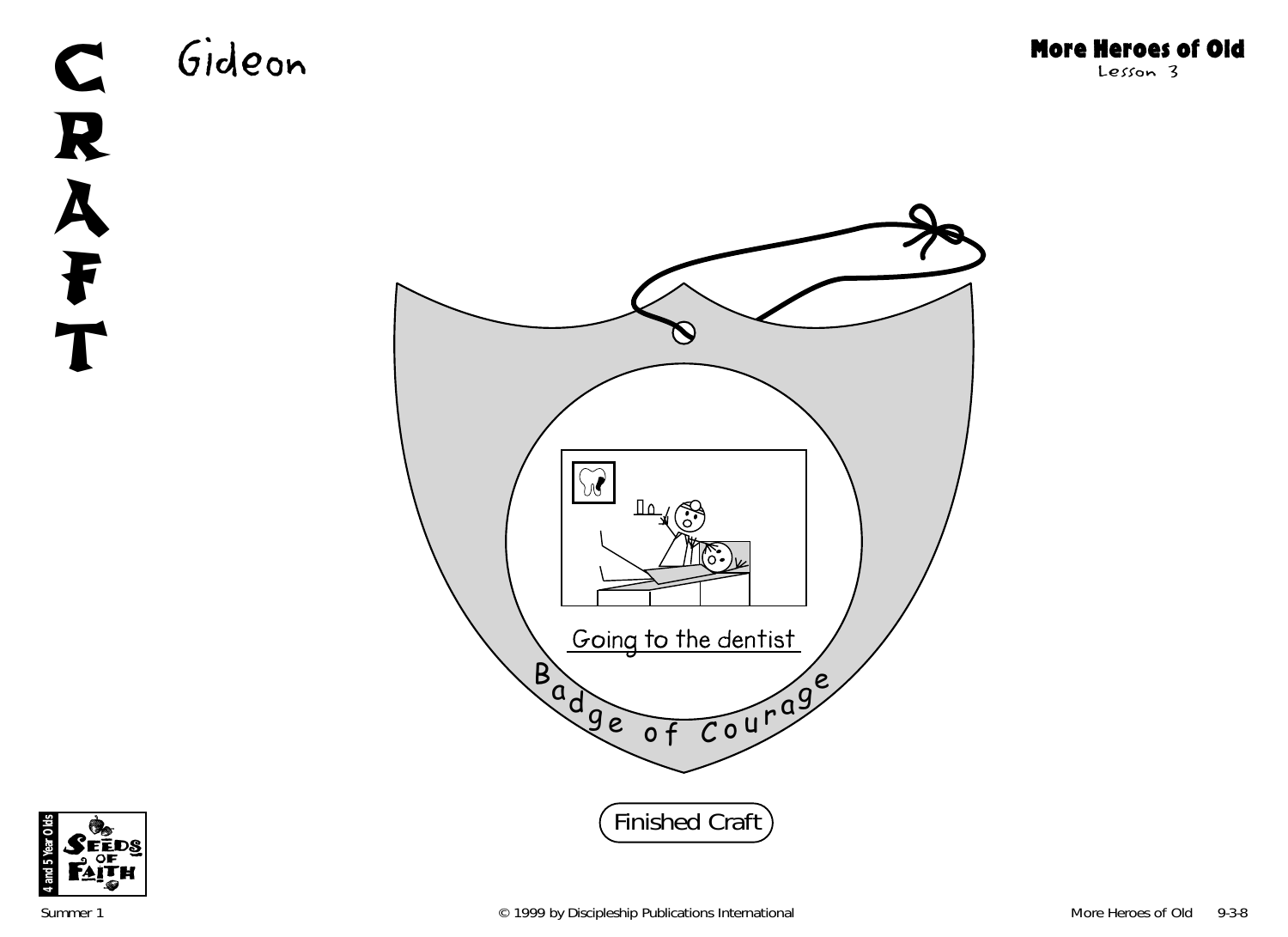

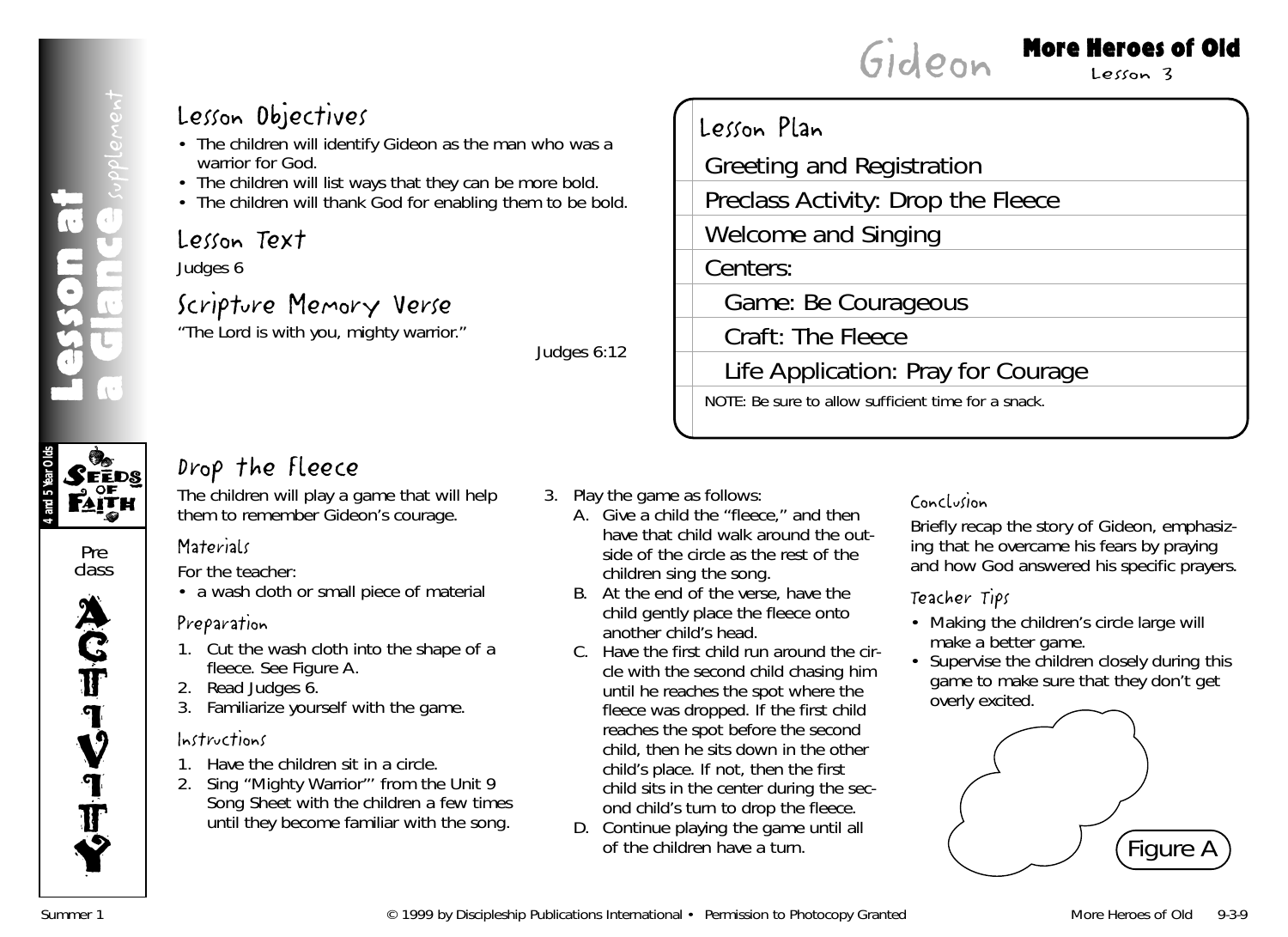**4 and 5 Year Olds**

Pre class

 $\mathcal{S}$ eeds

**FAITH** 

**ACT** 

**IV** 

I **T** 

Y

#### More Heroes of Old

Lesson 3

#### Lesson Objectives

- The children will identify Gideon as the man who was a warrior for God.
- The children will list ways that they can be more bold.
- The children will thank God for enabling them to be bold.

#### Lesson Text

Judges 6

#### Scripture Memory Verse

"The Lord is with you, mighty warrior."

*Judges 6:12*

| Lesson Plan                                         |
|-----------------------------------------------------|
| Greeting and Registration                           |
| Preclass Activity: Drop the Fleece                  |
| Welcome and Singing                                 |
| Centers:                                            |
| Game: Be Courageous                                 |
| Craft: The Fleece                                   |
| Life Application: Pray for Courage                  |
| NOTE: Be sure to allow sufficient time for a snack. |
|                                                     |

Gideon

#### Drop the Fleece

The children will play a game that will help them to remember Gideon's courage.

#### **Materials**

*For the teacher:*

• a wash cloth or small piece of material

#### Preparation

- 1. Cut the wash cloth into the shape of a fleece. See Figure A.
- 2. Read Judges 6.
- 3. Familiarize yourself with the game.

#### Instructions

- 1. Have the children sit in a circle.
- 2. Sing "Mighty Warrior"' from the Unit 9 Song Sheet with the children a few times until they become familiar with the song.
- 3. Play the game as follows:
	- A. Give a child the "fleece," and then have that child walk around the outside of the circle as the rest of the children sing the song.
	- B. At the end of the verse, have the child gently place the fleece onto another child's head.
	- C. Have the first child run around the circle with the second child chasing him until he reaches the spot where the fleece was dropped. If the first child reaches the spot before the second child, then he sits down in the other child's place. If not, then the first child sits in the center during the second child's turn to drop the fleece.
	- D. Continue playing the game until all of the children have a turn.

#### Conclusion

Briefly recap the story of Gideon, emphasizing that he overcame his fears by praying and how God answered his specific prayers.

#### Teacher Tips

- Making the children's circle large will make a better game.
- Supervise the children closely during this game to make sure that they don't get overly excited.

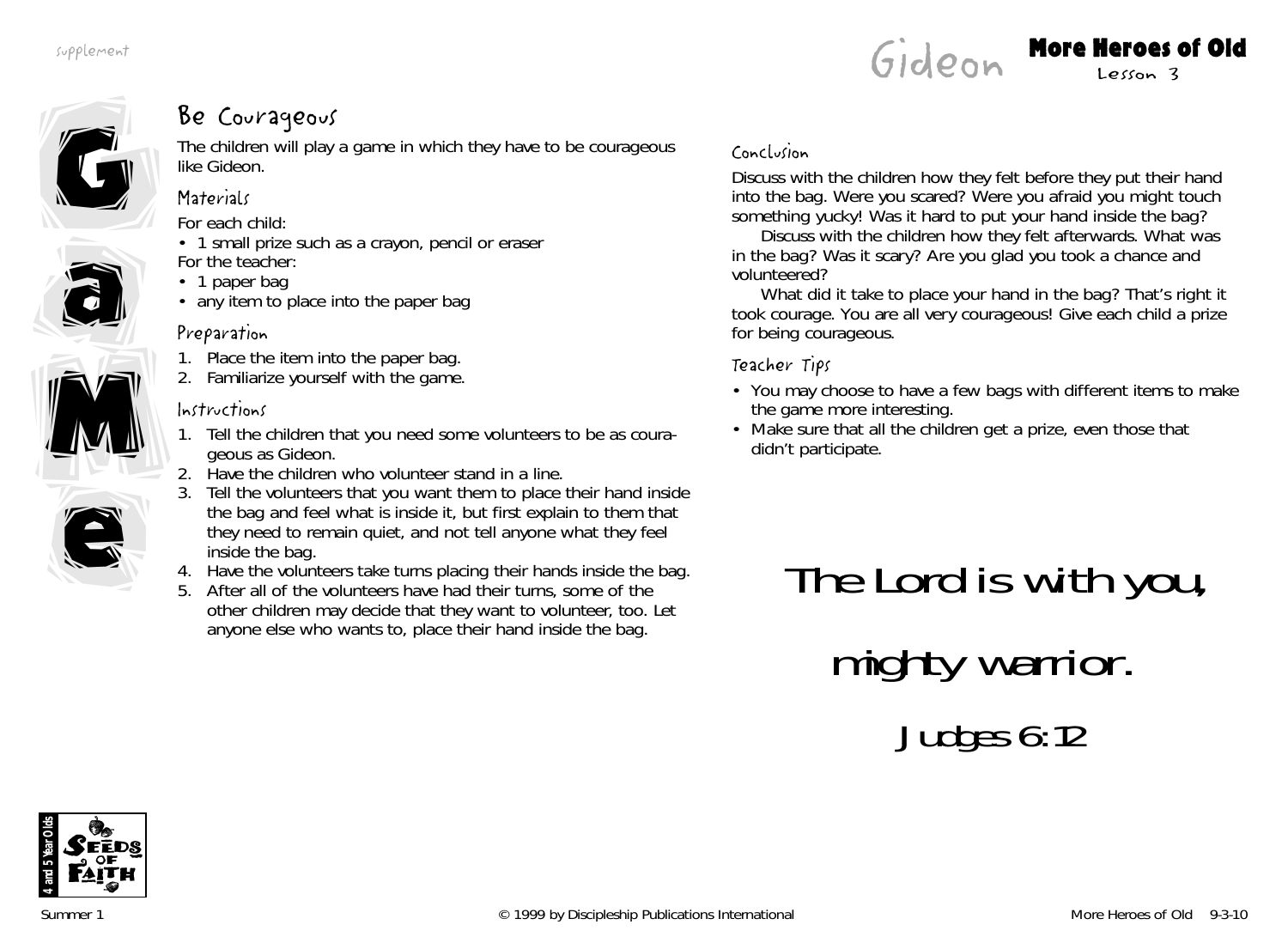









#### Be Courageous

The children will play a game in which they have to be courageous like Gideon.

#### **Materials**

*For each child:*

- 1 small prize such as a crayon, pencil or eraser *For the teacher:*
- 1 paper bag
- any item to place into the paper bag

#### Preparation

- 1. Place the item into the paper bag.
- 2. Familiarize yourself with the game.

#### Instructions

- 1. Tell the children that you need some volunteers to be as courageous as Gideon.
- 2. Have the children who volunteer stand in a line.
- 3. Tell the volunteers that you want them to place their hand inside the bag and feel what is inside it, but first explain to them that they need to remain quiet, and not tell anyone what they feel inside the bag.
- 4. Have the volunteers take turns placing their hands inside the bag.
- 5. After all of the volunteers have had their turns, some of the other children may decide that they want to volunteer, too. Let anyone else who wants to, place their hand inside the bag.

#### Conclusion

Discuss with the children how they felt before they put their hand into the bag. *Were you scared? Were you afraid you might touch something yucky! Was it hard to put your hand inside the bag?*

Discuss with the children how they felt afterwards. *What was in the bag? Was it scary? Are you glad you took a chance and volunteered?*

*What did it take to place your hand in the bag? That's right it took courage. You are all very courageous!* Give each child a prize for being courageous.

#### Teacher Tips

- You may choose to have a few bags with different items to make the game more interesting.
- Make sure that all the children get a prize, even those that didn't participate.

# The Lord is with you, mighty warrior. Judges 6:12

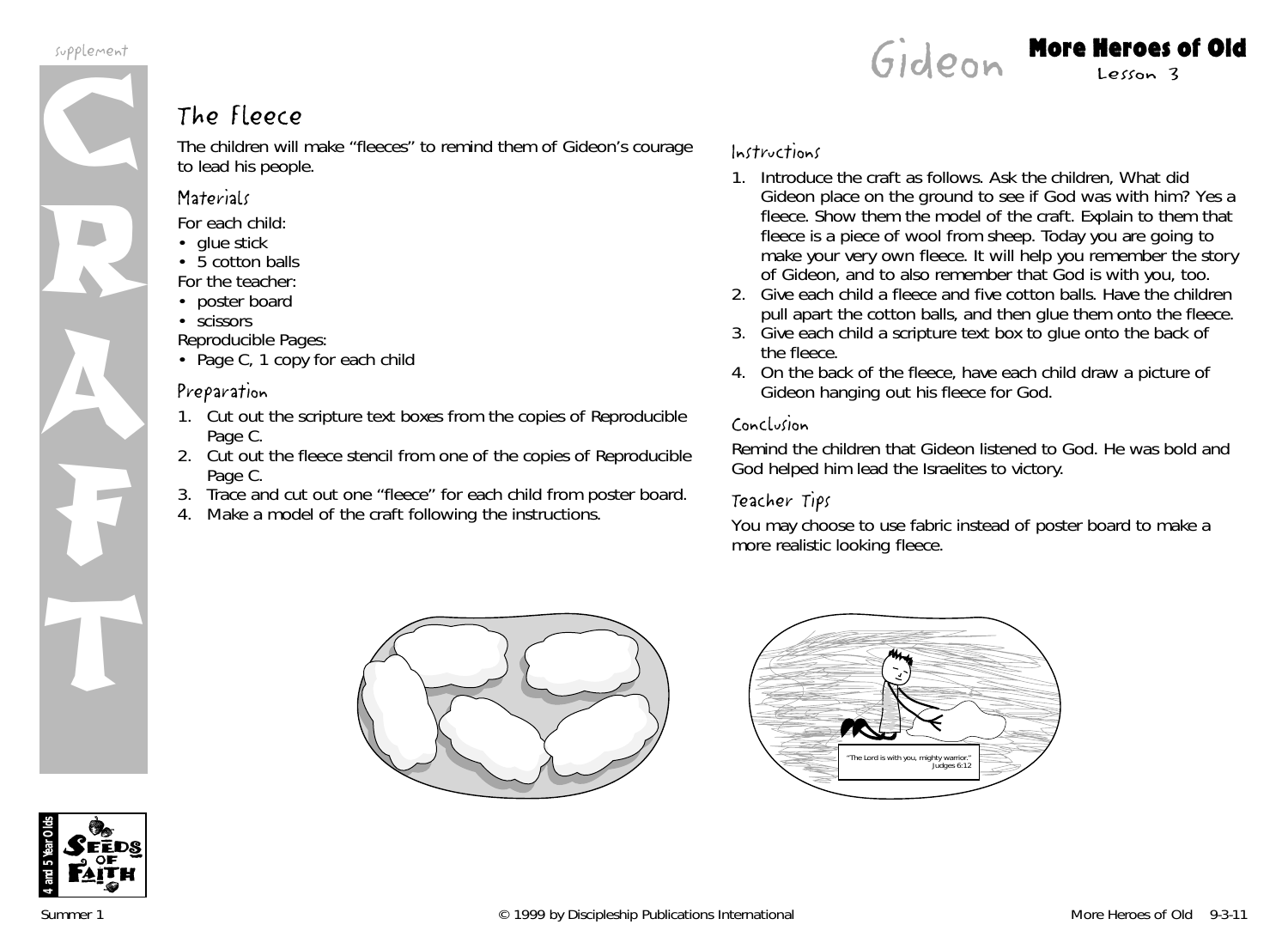supplement



The children will make "fleeces" to remind them of Gideon's courage to lead his people.

#### **Materials**

*For each child:*

- glue stick
- 5 cotton balls
- *For the teacher:*
- poster board
- scissors

*Reproducible Pages:*

• Page C, 1 copy for each child

#### Preparation

- 1. Cut out the scripture text boxes from the copies of Reproducible Page C.
- 2. Cut out the fleece stencil from one of the copies of Reproducible Page C.
- 3. Trace and cut out one "fleece" for each child from poster board.
- 4. Make a model of the craft following the instructions.

#### Instructions

1. Introduce the craft as follows. Ask the children, *What did Gideon place on the ground to see if God was with him? Yes a fleece.* Show them the model of the craft. Explain to them that fleece is a piece of wool from sheep. *Today you are going to make your very own fleece. It will help you remember the story of Gideon, and to also remember that God is with you, too.*

Gideon More Heroes of Old

- 2. Give each child a fleece and five cotton balls. Have the children pull apart the cotton balls, and then glue them onto the fleece.
- 3. Give each child a scripture text box to glue onto the back of the fleece.
- 4. On the back of the fleece, have each child draw a picture of Gideon hanging out his fleece for God.

#### Conclusion

Remind the children that Gideon listened to God. He was bold and God helped him lead the Israelites to victory.

#### Teacher Tips

You may choose to use fabric instead of poster board to make a more realistic looking fleece.





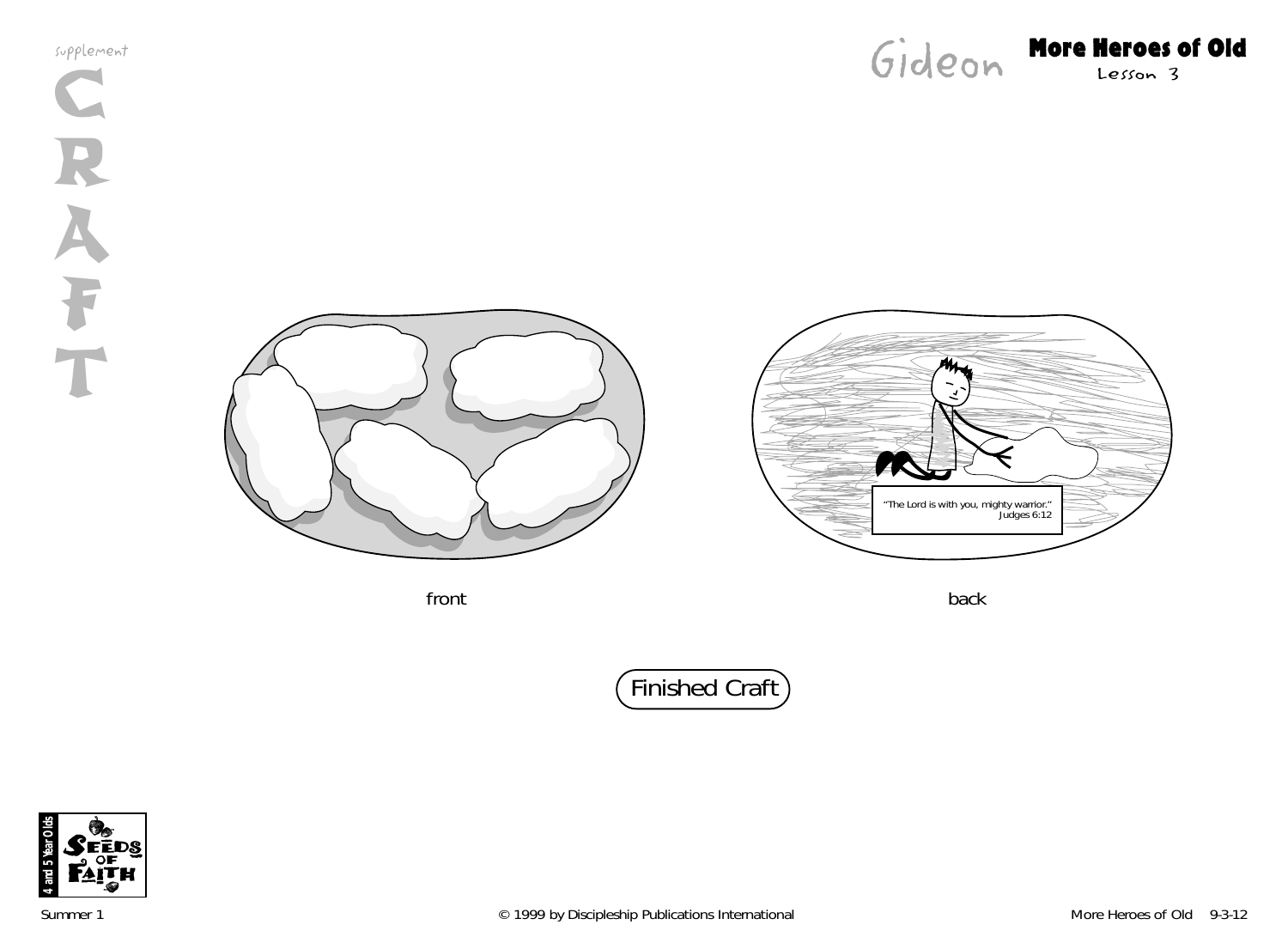supplement C R A F T



## Gideon More Heroes of Old



front back that back the state of the state of the state of the back back



Finished Craft

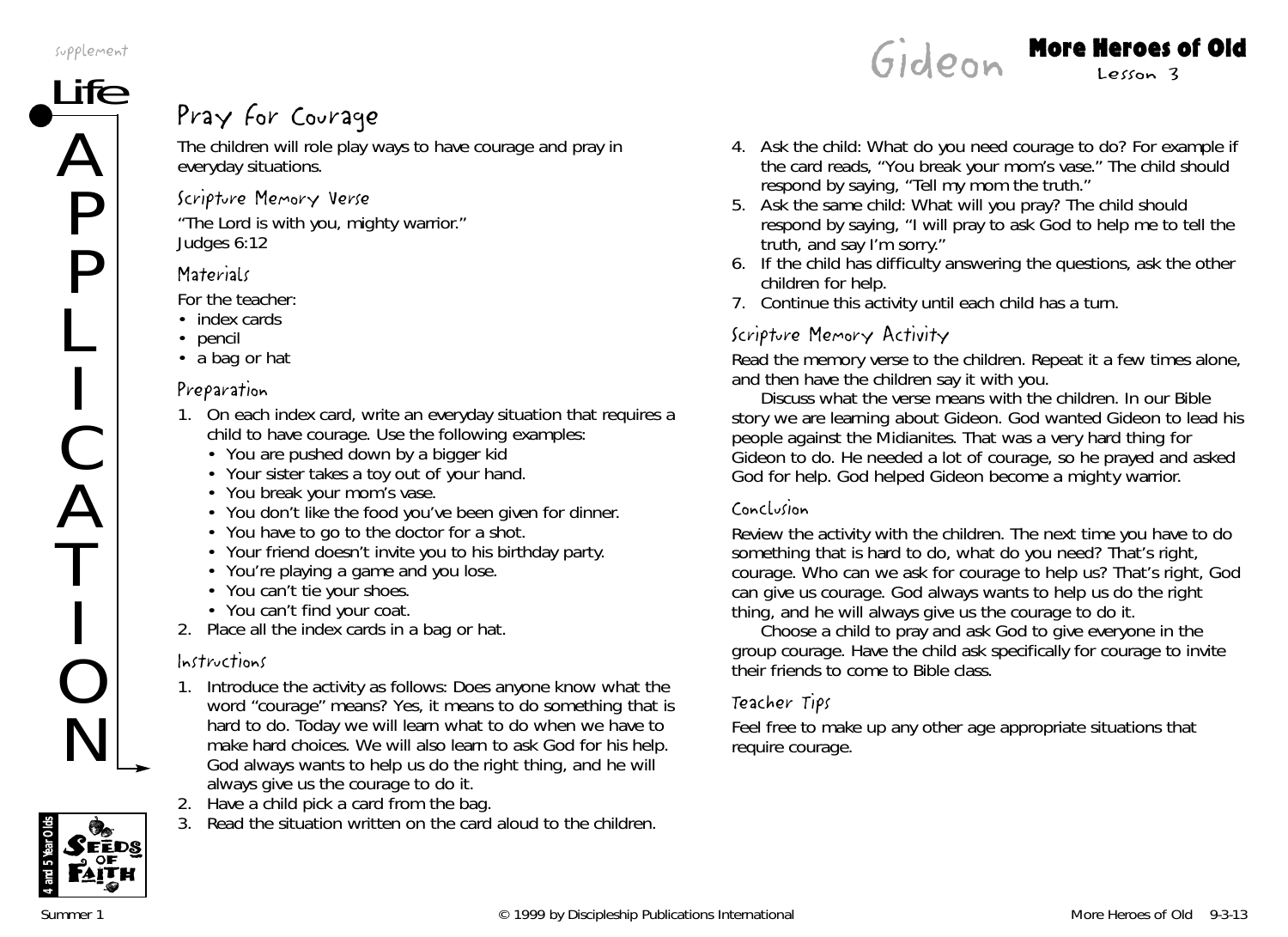supplement

## $\frac{ife}{\sqrt{e}}$  Pray for Courage

The children will role play ways to have courage and pray in everyday situations.

#### Scripture Memory Verse

"The Lord is with you, mighty warrior." *Judges 6:12*

#### **Materials**

*For the teacher:*

- index cards
- pencil
- a bag or hat

#### Preparation

- 1. On each index card, write an everyday situation that requires a child to have courage. Use the following examples:
	- You are pushed down by a bigger kid
	- Your sister takes a toy out of your hand.
	- You break your mom's vase.
	- You don't like the food you've been given for dinner.
	- You have to go to the doctor for a shot.
	- Your friend doesn't invite you to his birthday party.
	- You're playing a game and you lose.
	- You can't tie your shoes.
	- You can't find your coat.
- 2. Place all the index cards in a bag or hat.

#### Instructions

- 1. Introduce the activity as follows: *Does anyone know what the word "courage" means? Yes, it means to do something that is hard to do. Today we will learn what to do when we have to make hard choices. We will also learn to ask God for his help. God always wants to help us do the right thing, and he will always give us the courage to do it.*
- 2. Have a child pick a card from the bag.
- 3. Read the situation written on the card aloud to the children.

4. Ask the child: *What do you need courage to do?* For example if the card reads, "You break your mom's vase." The child should respond by saying, "Tell my mom the truth."

Gideon More Heroes of Old

- 5. Ask the same child: *What will you pray?* The child should respond by saying, "I will pray to ask God to help me to tell the truth, and say I'm sorry."
- 6. If the child has difficulty answering the questions, ask the other children for help.
- 7. Continue this activity until each child has a turn.

#### Scripture Memory Activity

Read the memory verse to the children. Repeat it a few times alone, and then have the children say it with you.

Discuss what the verse means with the children. In our *Bible story we are learning about Gideon. God wanted Gideon to lead his people against the Midianites. That was a very hard thing for Gideon to do. He needed a lot of courage, so he prayed and asked God for help. God helped Gideon become a mighty warrior.*

#### Conclusion

Review the activity with the children. *The next time you have to do something that is hard to do, what do you need? That's right, courage. Who can we ask for courage to help us? That's right, God can give us courage. God always wants to help us do the right thing, and he will always give us the courage to do it.*

Choose a child to pray and ask God to give everyone in the group courage. Have the child ask specifically for courage to invite their friends to come to Bible class.

#### Teacher Tips

Feel free to make up any other age appropriate situations that require courage.

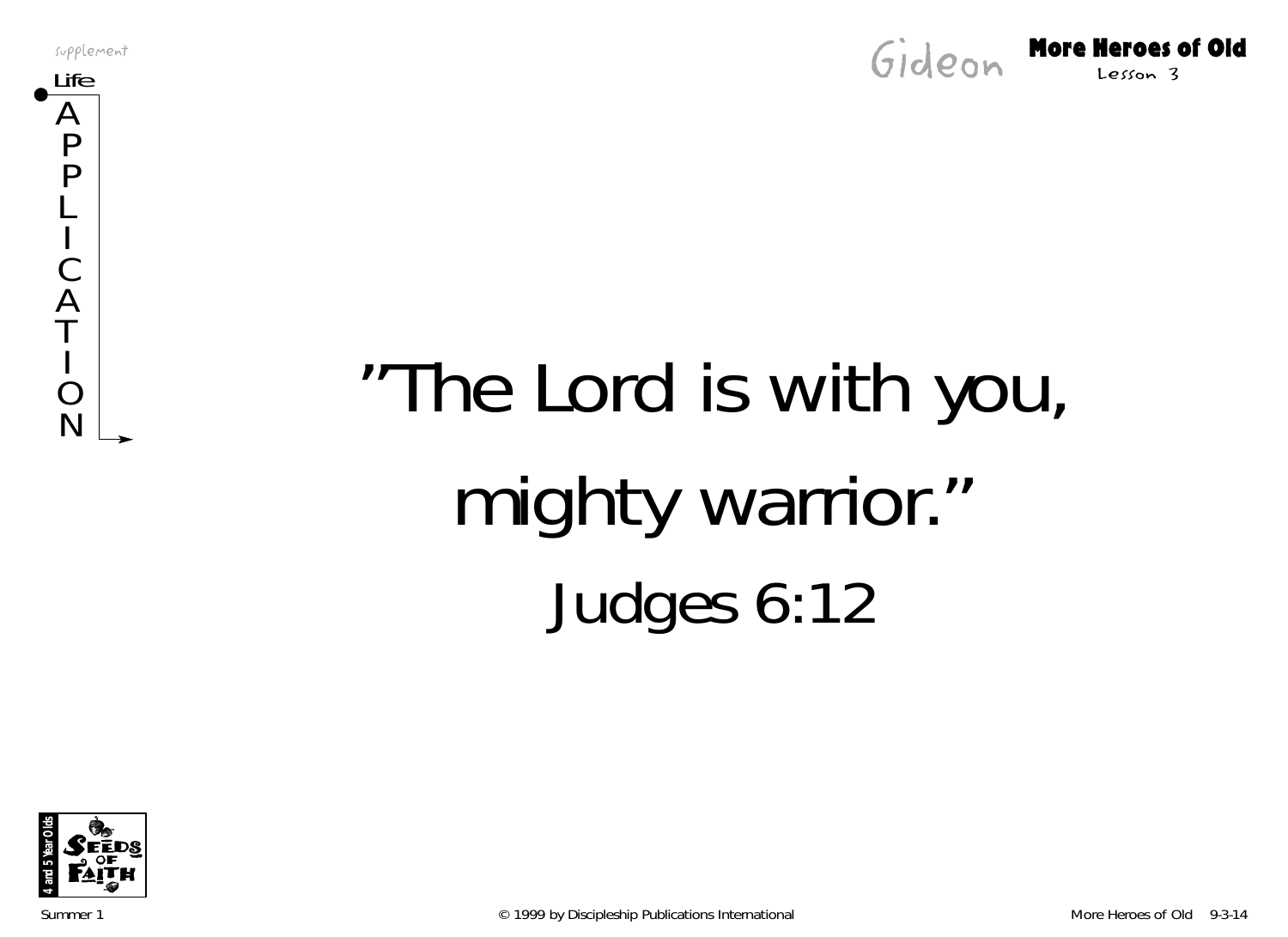supplement





# $N_{\rm N}^{\rm O}$  "The Lord is with you, mighty warrior." Judges 6:12



Summer 1 **Example 2019 by Discipleship Publications International** More Heroes of Old 9-3-14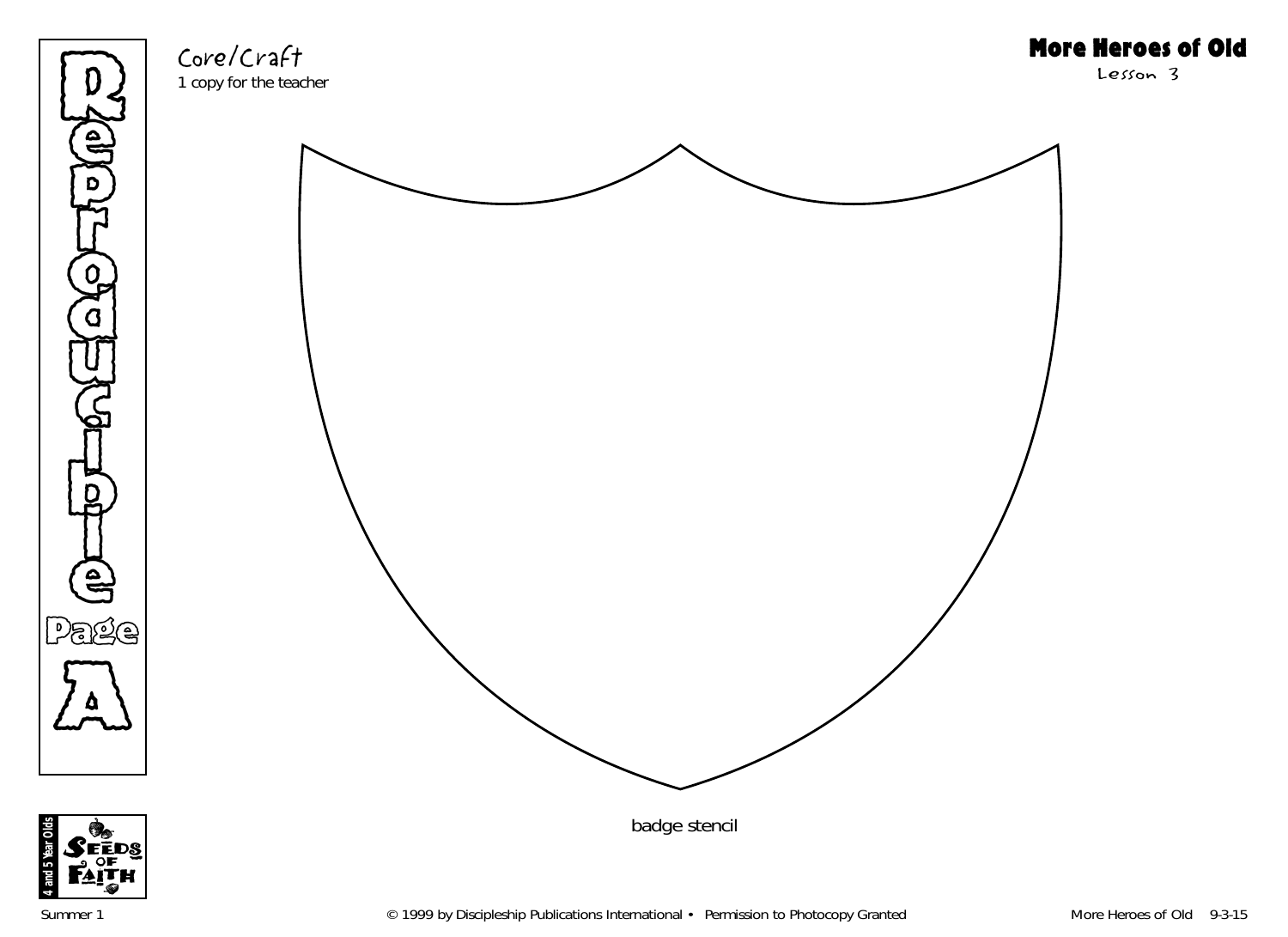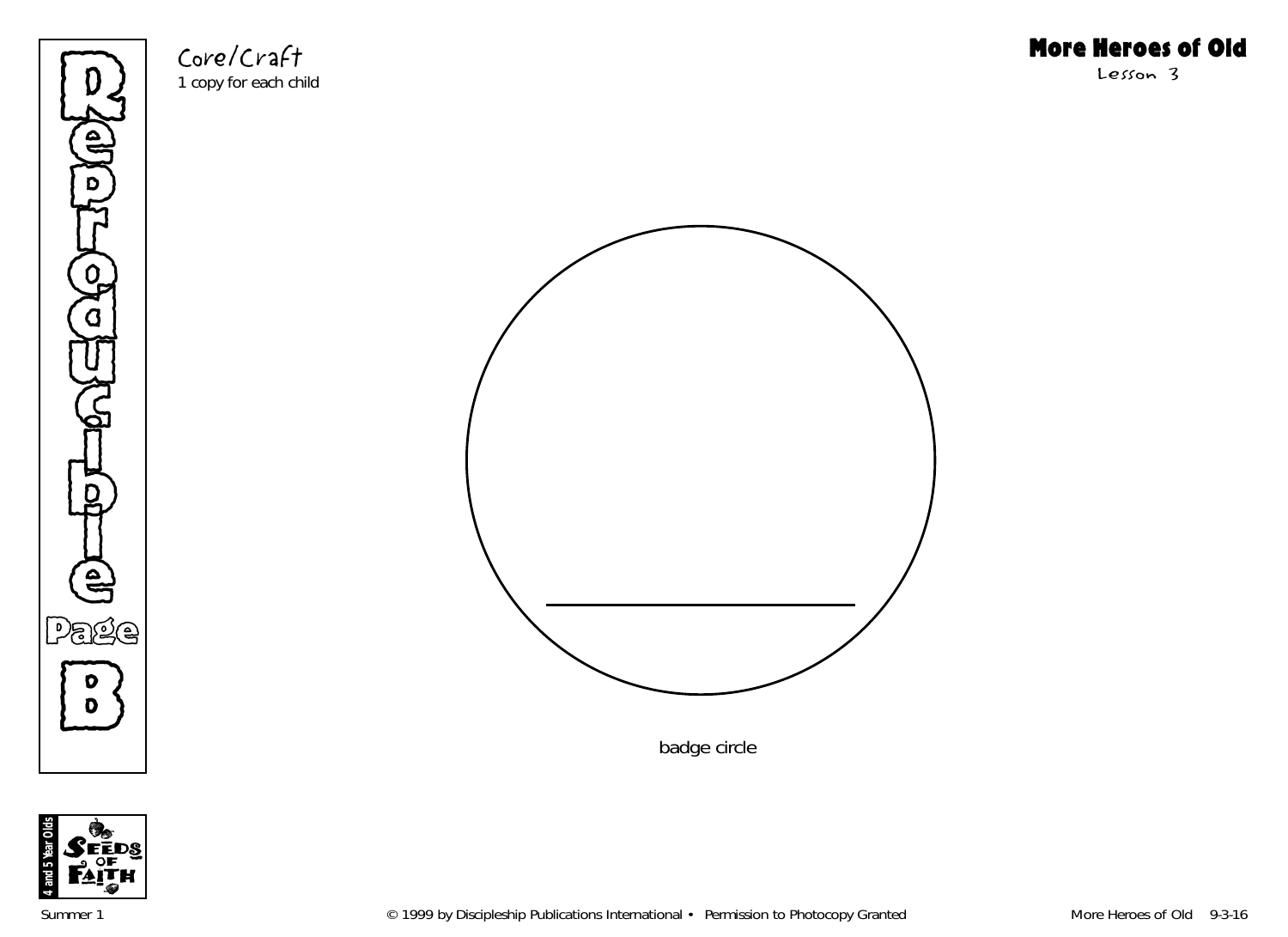

Core/Craft 1 copy for each child More Heroes of Old

Lesson 3



badge circle